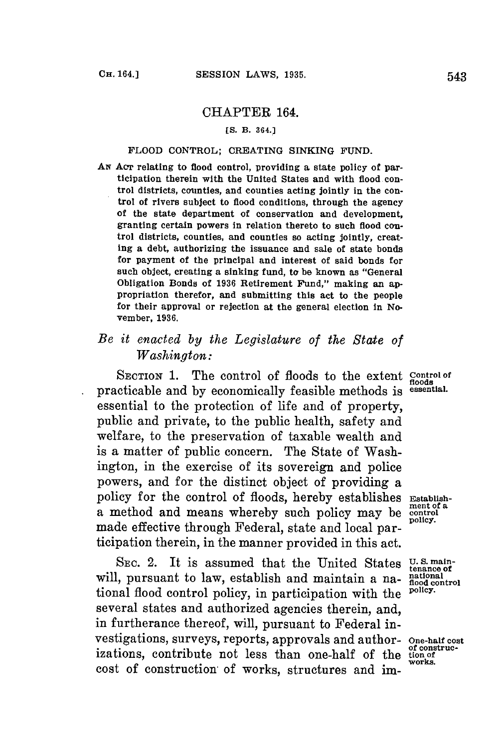## CHAPTER 164.

## **[S. B. 364.)**

## FLOOD CONTROL; CREATING SINKING **FUND.**

**AN Acr** relating to flood control, providing a state policy of participation therein with the United States and with flood control districts, counties, and counties acting jointly in the control of rivers subject to flood conditions, through the agency of the state department of conservation and development, granting certain powers in relation thereto to such flood control districts, counties, and counties so acting jointly, creating a debt, authorizing the issuance and sale of state bonds for payment of the principal and interest of said bonds for such object, creating a sinking fund, to be known as "General Obligation Bonds of **1936** Retirement Fund," making an appropriation therefor, and submitting this act to the people for their approval or rejection at the general election in November, **1936.**

## *Be it enacted by the Legislature of the State of Washington:*

SECTION 1. The control of floods to the extent Control of extends floods<br>
extigable and by economically feasible methods is essential. practicable and by economically feasible methods is essential to the protection of life and of property, public and private, to the public health, safety and welfare, to the preservation of taxable wealth and is a matter of public concern. The State of Washington, in the exercise of its sovereign and police powers, and for the distinct object of providing a policy for the control of floods, hereby establishes **Establishes** a method and means whereby such policy may be control made effective through Federal, state and local participation therein, in the manner provided in this act.

SEC. 2. It is assumed that the United States will, pursuant to law, establish and maintain a na-<br>tional flood control policy in participation with the policy. tional flood control policy, in participation with the several states and authorized agencies therein, and, in furtherance thereof, will, pursuant to Federal investigations, surveys, reports, approvals and author- **One-half cost of construc-** izations, contribute not less than one-half of the **tion of** cost of construction of works, structures and im-

U.S. main-<br>tenance of<br>national<br>flood control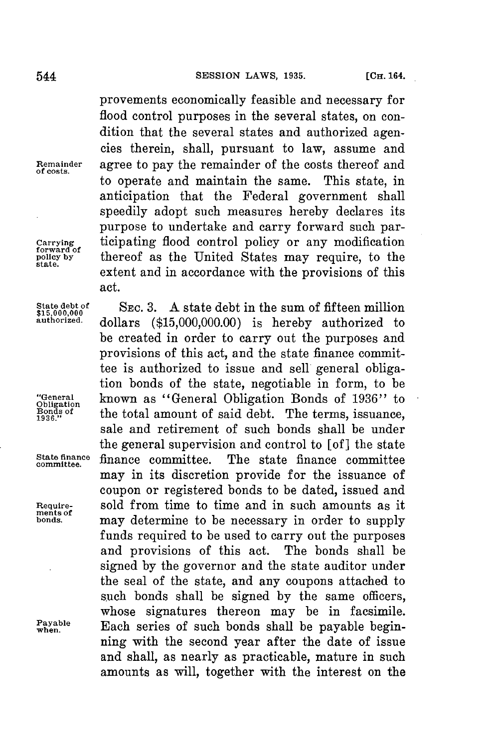provements economically feasible and necessary for flood control purposes in the several states, on condition that the several states and authorized agencies therein, shall, pursuant to law, assume and Remainder agree to pay the remainder of the costs thereof and to operate and maintain the same. This state, in to operate and maintain the same. anticipation that the Federal government shall speedily adopt such measures hereby declares its purpose to undertake and carry forward such participating flood control policy or any modification policy by **thereof** as the United States may require, to the extent and in accordance with the provisions of this act.

State debt of SEC. 3. A state debt in the sum of fifteen million<br> **SUCCES** dellarge (\$15,000,000,00) is bangly extensived to **authorized.** dollars **(\$15,000,000.00)** is hereby authorized to be created in order to carry out the purposes and provisions of this act, and the state finance committee is authorized to issue and sell general obligation bonds of the state, negotiable in form, to be **"General** known as "General Obligation Bonds of **1936"** to **Obligation** the total amount of said debt. The terms, issuance, sale and retirement of such bonds shall be under the general supervision and control to [of **]** the state **State finance** finance committee. The state finance committee **committee.** may in its discretion provide for the issuance of coupon or registered bonds to be dated, issued and **Require-** sold from time to time and in such amounts as it may determine to be necessary in order to supply funds required to be used to carry out the purposes and provisions of this act. The bonds shall be signed **by** the governor and the state auditor under the seal of the state, and any coupons attached to such bonds shall be signed **by** the same officers, whose signatures thereon may be in facsimile. Payable **Each** series of such bonds shall be payable beginning with the second year after the date of issue and shall, as nearly as practicable, mature in such amounts as will, together with the interest on the

**forward of**

**ments of**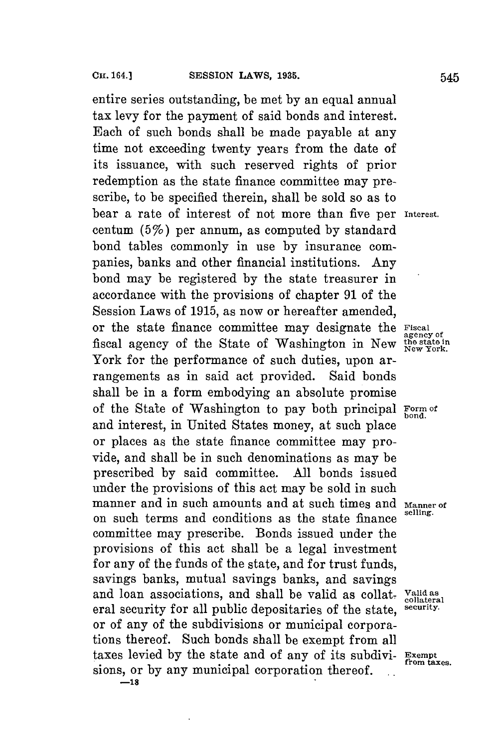entire series outstanding, be met **by** an equal annual tax levy **for** the payment of said bonds and interest. Each of such bonds shall be made payable at any time not exceeding twenty years from the date of its issuance, with such reserved rights of prior redemption as the state finance committee may prescribe, to be specified therein, shall be sold so as to bear a rate of interest of not more than five per **Interest.** centum (5%) per annum, as computed by standard bond tables commonly in use **by** insurance companies, banks and other financial institutions. Any bond may be registered **by** the state treasurer in accordance with the provisions of chapter **91** of the Session Laws of **1915,** as now or hereafter amended, or the state finance committee may designate the **Fiscal** of the state mainted estimated that a state in the state in the state in the state in the state in the state in the state of Washington in New **thew York**. York for the performance of such duties, upon arrangements as in said act provided. Said bonds shall be in a form embodying an absolute promise of the State of Washington to pay both principal **Form of bond.** and interest, in United States money, at such place or places as the state finance committee may provide, and shall be in such denominations as may be prescribed **by** said committee. **All** bonds issued under the provisions of this act may be sold in such manner and in such amounts and at such times and **Manner of** on such terms and conditions as the state finance committee may prescribe. Bonds issued under the provisions of this act shall be a legal investment **for** any of the funds of the state, and **for** trust funds, savings banks, mutual savings banks, and savings and loan associations, and shall be valid as collat- **Valid as collateral** eral security for all public depositaries of the state, or of any of the subdivisions or municipal corporations thereof. Such bonds shall be exempt from all taxes levied **by** the state and of any of its subdivi- **Exempt** sions, or by any municipal corporation thereof. **-18**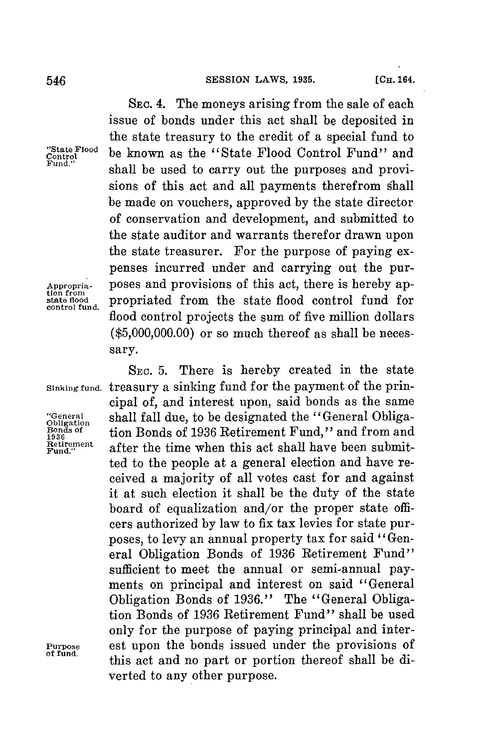**SEC.** 4. The moneys arising from the sale of each issue of bonds under this act shall be deposited in the state treasury to the credit of a special fund to the state treasury to the credit of a special fund to<br><sup>"State Flood</sup>" be known as the "State Flood Control Fund" and  $\frac{\text{Cone}}{\text{Control}}$  be known as the "State Flood Control Fund." and  $\frac{\text{Fund."}}{\text{Fund.}}$  shall be used to carry out the purposes and provisions of this act and all payments therefrom shall be made on vouchers, approved **by** the state director of conservation and development, and submitted to the state auditor and warrants therefor drawn upon the state treasurer. For the purpose of paying expenses incurred under and carrying out the pur-Appropria-<br>tion from<br>state flood **propriated** from the state flood control fund for **state flood** propriated from the state flood control fund for **control fund.** flood control projects the sum of five million dollars **(\$5,000,000.00)** or so much thereof as shall be necessary.

**SEc. 5.** There is hereby created in the state **Sinking fund.** treasury a sinking fund **for** the payment of the principal of, and interest upon, said bonds as the same "General **properties and Shall fall due, to be designated the "General Obliga-Bonds of <br>
<b>Bonds** of **Bonds** of **1936** Retirement Fund," and from and **1936** Experience tion Bonds of 1936 Retirement Fund," and from and set also been also assumed. **Fetiement** after the time when this act shall have been submitted to the people at a general election and have received a majority of all votes cast for and against it at such election it shall be the duty of the state board of equalization and/or the proper state officers authorized **by** law to fix tax levies **for** state purposes, to levy an annual property tax **for** said "General Obligation Bonds of **1936** Retirement Fund" sufficient to meet the annual or semi-annual payments on principal and interest on said "General Obligation Bonds of **1936."** The "General Obligation Bonds of **1936** Retirement Fund" shall be used only for the purpose of paying principal and inter-**Purpose** est upon the bonds issued under the provisions of this act and no part or portion thereof shall be diverted to any other purpose.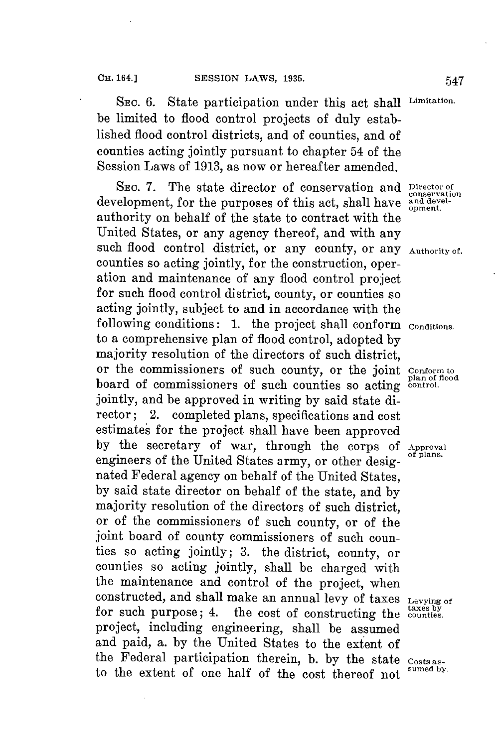**SEC. 6.** State participation under this act shall **Limitation.** be limited to flood control projects of duly established flood control districts, and of counties, and of counties acting jointly pursuant to chapter 54 of the Session Laws of **1913,** as now or hereafter amended.

SEC. **7.** The state director of conservation and **Director of** development, for the purposes of this act, shall have and development. authority on behalf of the state to contract with the United States, or any agency thereof, and with any such flood control district, or any county, or any Authority of. counties so acting jointly, for the construction, operation and maintenance of any flood control project for such flood control district, county, or counties so acting jointly, subject to and in accordance with the following conditions: **1.** the project shall conform **Conditions.** to a comprehensive plan of flood control, adopted **by** majority resolution of the directors of such district, or the commissioners of such county, or the joint **Conform to** plan of flood **plan of flood** board of commissioners of such counties so acting **control.** jointly, and be approved in writing **by** said state director; 2. completed plans, specifications and cost estimates for the project shall have been approved by the secretary of war, through the corps of Approval engineers of the United States army, or other designated Federal agency on behalf of the United States, **by** said state director on behalf of the state, and **by** majority resolution of the directors of such district, or of the commissioners of such county, or of the joint board of county commissioners of such counties so acting jointly; **3.** the district, county, or counties so acting jointly, shall be charged with the maintenance and control of the project, when constructed, and shall make an annual levy of taxes **Levying of** for such purpose; 4. the cost of constructing the <sup>taxes by</sup> counties. project, including engineering, shall be assumed and paid, a. **by** the United States to the extent **of** the Federal participation therein, **b. by** the state **costs as**to the extent of one half of the cost thereof not

**conservation**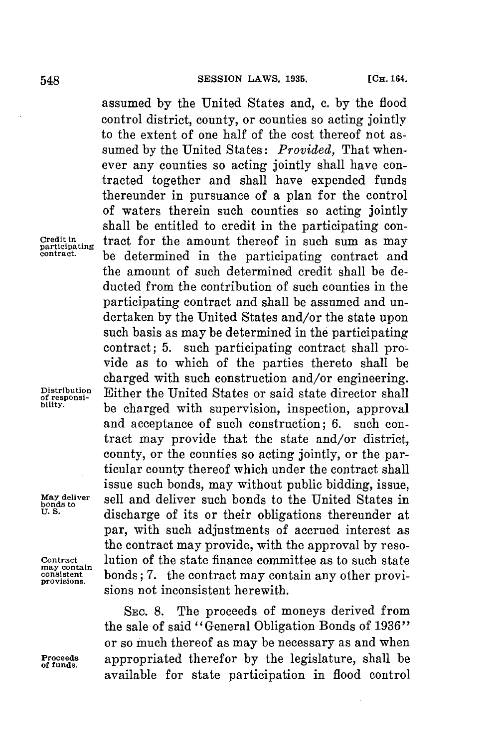assumed **by** the United States and, **c. by** the flood control district, county, or counties so acting jointly to the extent of one half of the cost thereof not assumed **by** the United States: *Provided,* That whenever any counties so acting jointly shall have contracted together and shall have expended funds thereunder in pursuance of a plan for the control of waters therein such counties so acting jointly shall be entitled to credit in the participating con-**Credit in** tract for the amount thereof in such sum as may **participating contract.** be determined in the participating contract and the amount of such determined credit shall be deducted from the contribution of such counties in the participating contract and shall be assumed and undertaken **by** the United States and/or the state upon such basis as may be determined in the participating contract; **5.** such participating contract shall provide as to which of the parties thereto shall be charged with such construction and/or engineering. Distribution Either the United States or said state director shall<br>bility. be charged with supervision, inspection, approval and acceptance of such construction; **6.** such contract may provide that the state and/or district, county, or the counties so acting jointly, or the particular county thereof which under the contract shall issue such bonds, may without public bidding, issue, sell and deliver such bonds to the United States in **U. S.** discharge of its or their obligations thereunder at par, with such adjustments of accrued interest as the contract may provide, with the approval **by** reso- $\frac{\text{Contract}}{\text{max}_{\text{constant}}}$  lution of the state finance committee as to such state consistent provisions.<br> **provisions** bonds; 7. the contract may contain any other provi-<br>
sions not inconsistent herewith.

**SEC. 8.** The proceeds of moneys derived from the sale of said "General Obligation Bonds of **1936"** or so much thereof as may be necessary as and when **Proceeds** appropriated therefor **by** the legislature, shall be **of funds.** available for state participation in flood control

**May deliver bonds to**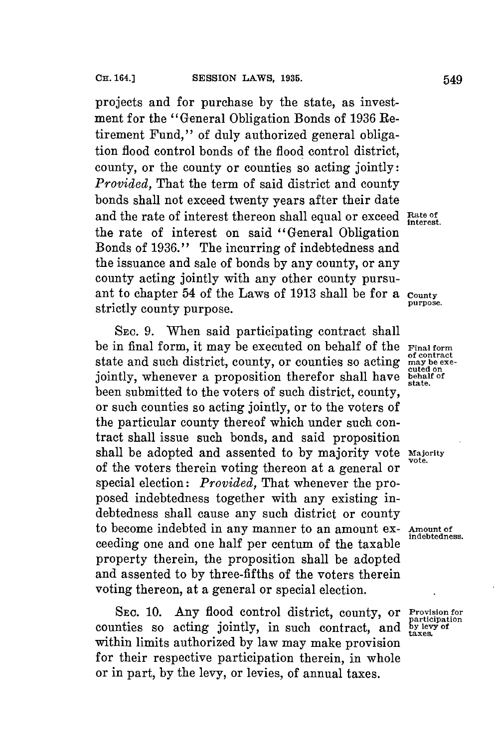projects and for purchase **by** the state, as investment for the "General Obligation Bonds of **1936** Retirement Fund," of duly authorized general obligation flood control bonds of the flood control district, county, or the county or counties so acting jointly: *Provided,* That the term of said district and county bonds shall not exceed twenty years after their date and the rate of interest thereon shall equal or exceed **Rate of interest.** the rate of interest on said **"** General Obligation Bonds of **1936."** The incurring of indebtedness and the issuance and sale of bonds **by** any county, or any county acting jointly with any other county pursuant to chapter 54 of the Laws of **1913** shall be for a county strictly county purpose.

**SEC. 9.** When said participating contract shall be in final form, it may be executed on behalf of the **Final form** state and such district, county, or counties so acting  $\frac{1}{\text{mag}}$  be exestate and such district, county, or counties so acting may be exercised on<br>iointly, whenever a proposition therefor shall have behalf of jointly, whenever a proposition therefor shall have **behalf** state. been submitted to the voters of such district, county, or such counties so acting jointly, or to the voters of the particular county thereof which under such contract shall issue such bonds, and said proposition shall be adopted and assented to **by** majority vote **Majority** of the voters therein voting thereon at a general or special election: *Provided,* That whenever the proposed indebtedness together with any existing indebtedness shall cause any such district or county to become indebted in any manner to an amount ex- **Amount of indebtedness.** ceeding one and one half per centum of the taxable property therein, the proposition shall be adopted and assented to **by** three-fifths of the voters therein voting thereon, at a general or special election.

SEC. **10. Any** flood control district, county, or **Provision for participation** counties so acting jointly, in such contract, and **by lev**<sub>taxes</sub> within limits authorized **by** law may make provision for their respective participation therein, in whole or in part, **by** the levy, or levies, of annual taxes.